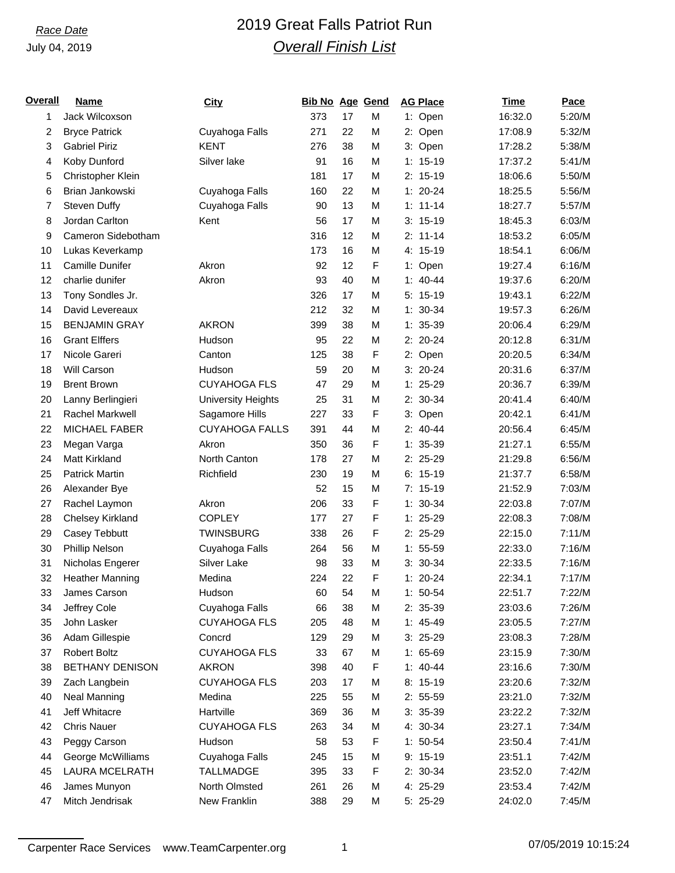# *Race Date* 2019 Great Falls Patriot Run *Overall Finish List*

| <u>Overall</u> | <b>Name</b>            | City                      | <b>Bib No Age Gend</b> |    |   | <b>AG Place</b> | Time    | Pace   |
|----------------|------------------------|---------------------------|------------------------|----|---|-----------------|---------|--------|
| 1              | Jack Wilcoxson         |                           | 373                    | 17 | M | 1: Open         | 16:32.0 | 5:20/M |
| 2              | <b>Bryce Patrick</b>   | Cuyahoga Falls            | 271                    | 22 | M | 2: Open         | 17:08.9 | 5:32/M |
| 3              | <b>Gabriel Piriz</b>   | <b>KENT</b>               | 276                    | 38 | M | 3: Open         | 17:28.2 | 5:38/M |
| 4              | Koby Dunford           | Silver lake               | 91                     | 16 | M | $1: 15-19$      | 17:37.2 | 5:41/M |
| 5              | Christopher Klein      |                           | 181                    | 17 | M | $2: 15-19$      | 18:06.6 | 5:50/M |
| 6              | Brian Jankowski        | Cuyahoga Falls            | 160                    | 22 | M | $1: 20-24$      | 18:25.5 | 5:56/M |
| 7              | Steven Duffy           | Cuyahoga Falls            | 90                     | 13 | M | $1: 11 - 14$    | 18:27.7 | 5:57/M |
| 8              | Jordan Carlton         | Kent                      | 56                     | 17 | M | $3: 15-19$      | 18:45.3 | 6:03/M |
| 9              | Cameron Sidebotham     |                           | 316                    | 12 | M | $2: 11-14$      | 18:53.2 | 6:05/M |
| 10             | Lukas Keverkamp        |                           | 173                    | 16 | M | 4: 15-19        | 18:54.1 | 6:06/M |
| 11             | Camille Dunifer        | Akron                     | 92                     | 12 | F | 1: Open         | 19:27.4 | 6:16/M |
| 12             | charlie dunifer        | Akron                     | 93                     | 40 | M | $1: 40-44$      | 19:37.6 | 6:20/M |
| 13             | Tony Sondles Jr.       |                           | 326                    | 17 | M | $5: 15-19$      | 19:43.1 | 6:22/M |
| 14             | David Levereaux        |                           | 212                    | 32 | M | $1: 30-34$      | 19:57.3 | 6:26/M |
| 15             | <b>BENJAMIN GRAY</b>   | <b>AKRON</b>              | 399                    | 38 | M | $1: 35-39$      | 20:06.4 | 6:29/M |
| 16             | <b>Grant Elffers</b>   | Hudson                    | 95                     | 22 | M | $2: 20-24$      | 20:12.8 | 6:31/M |
| 17             | Nicole Gareri          | Canton                    | 125                    | 38 | F | 2: Open         | 20:20.5 | 6:34/M |
| 18             | Will Carson            | Hudson                    | 59                     | 20 | M | $3: 20-24$      | 20:31.6 | 6:37/M |
| 19             | <b>Brent Brown</b>     | <b>CUYAHOGA FLS</b>       | 47                     | 29 | M | $1: 25-29$      | 20:36.7 | 6:39/M |
| 20             | Lanny Berlingieri      | <b>University Heights</b> | 25                     | 31 | M | 2: 30-34        | 20:41.4 | 6:40/M |
| 21             | <b>Rachel Markwell</b> | Sagamore Hills            | 227                    | 33 | F | 3: Open         | 20:42.1 | 6:41/M |
| 22             | <b>MICHAEL FABER</b>   | <b>CUYAHOGA FALLS</b>     | 391                    | 44 | M | $2: 40-44$      | 20:56.4 | 6:45/M |
| 23             | Megan Varga            | Akron                     | 350                    | 36 | F | $1: 35-39$      | 21:27.1 | 6:55/M |
| 24             | Matt Kirkland          | North Canton              | 178                    | 27 | M | 2: 25-29        | 21:29.8 | 6:56/M |
| 25             | <b>Patrick Martin</b>  | Richfield                 | 230                    | 19 | M | $6: 15-19$      | 21:37.7 | 6:58/M |
| 26             | Alexander Bye          |                           | 52                     | 15 | M | $7: 15-19$      | 21:52.9 | 7:03/M |
| 27             | Rachel Laymon          | Akron                     | 206                    | 33 | F | $1: 30-34$      | 22:03.8 | 7:07/M |
| 28             | Chelsey Kirkland       | <b>COPLEY</b>             | 177                    | 27 | F | $1: 25-29$      | 22:08.3 | 7:08/M |
| 29             | Casey Tebbutt          | <b>TWINSBURG</b>          | 338                    | 26 | F | $2: 25-29$      | 22:15.0 | 7:11/M |
| 30             | Phillip Nelson         | Cuyahoga Falls            | 264                    | 56 | M | $1: 55-59$      | 22:33.0 | 7:16/M |
| 31             | Nicholas Engerer       | Silver Lake               | 98                     | 33 | M | $3: 30-34$      | 22:33.5 | 7:16/M |
| 32             | <b>Heather Manning</b> | Medina                    | 224                    | 22 | F | $1: 20-24$      | 22:34.1 | 7:17/M |
| 33             | James Carson           | Hudson                    | 60                     | 54 | M | $1: 50-54$      | 22:51.7 | 7:22/M |
| 34             | Jeffrey Cole           | Cuyahoga Falls            | 66                     | 38 | M | 2: 35-39        | 23:03.6 | 7:26/M |
| 35             | John Lasker            | <b>CUYAHOGA FLS</b>       | 205                    | 48 | M | $1: 45-49$      | 23:05.5 | 7:27/M |
| 36             | Adam Gillespie         | Concrd                    | 129                    | 29 | M | $3:25-29$       | 23:08.3 | 7:28/M |
| 37             | <b>Robert Boltz</b>    | <b>CUYAHOGA FLS</b>       | 33                     | 67 | M | $1: 65-69$      | 23:15.9 | 7:30/M |
| 38             | <b>BETHANY DENISON</b> | <b>AKRON</b>              | 398                    | 40 | F | $1: 40-44$      | 23:16.6 | 7:30/M |
| 39             | Zach Langbein          | <b>CUYAHOGA FLS</b>       | 203                    | 17 | M | $8: 15-19$      | 23:20.6 | 7:32/M |
| 40             | <b>Neal Manning</b>    | Medina                    | 225                    | 55 | M | $2: 55-59$      | 23:21.0 | 7:32/M |
| 41             | Jeff Whitacre          | Hartville                 | 369                    | 36 | M | $3: 35-39$      | 23:22.2 | 7:32/M |
| 42             | <b>Chris Nauer</b>     | <b>CUYAHOGA FLS</b>       | 263                    | 34 | M | 4: 30-34        | 23:27.1 | 7:34/M |
| 43             | Peggy Carson           | Hudson                    | 58                     | 53 | F | $1: 50-54$      | 23:50.4 | 7:41/M |
| 44             | George McWilliams      | Cuyahoga Falls            | 245                    | 15 | M | $9: 15-19$      | 23:51.1 | 7:42/M |
| 45             | <b>LAURA MCELRATH</b>  | <b>TALLMADGE</b>          | 395                    | 33 | F | 2: 30-34        | 23:52.0 | 7:42/M |
| 46             | James Munyon           | North Olmsted             | 261                    | 26 | M | 4: 25-29        | 23:53.4 | 7:42/M |
| 47             | Mitch Jendrisak        | New Franklin              | 388                    | 29 | M | 5: 25-29        | 24:02.0 | 7:45/M |

Carpenter Race Services www.TeamCarpenter.org 1 07/05/2019 10:15:24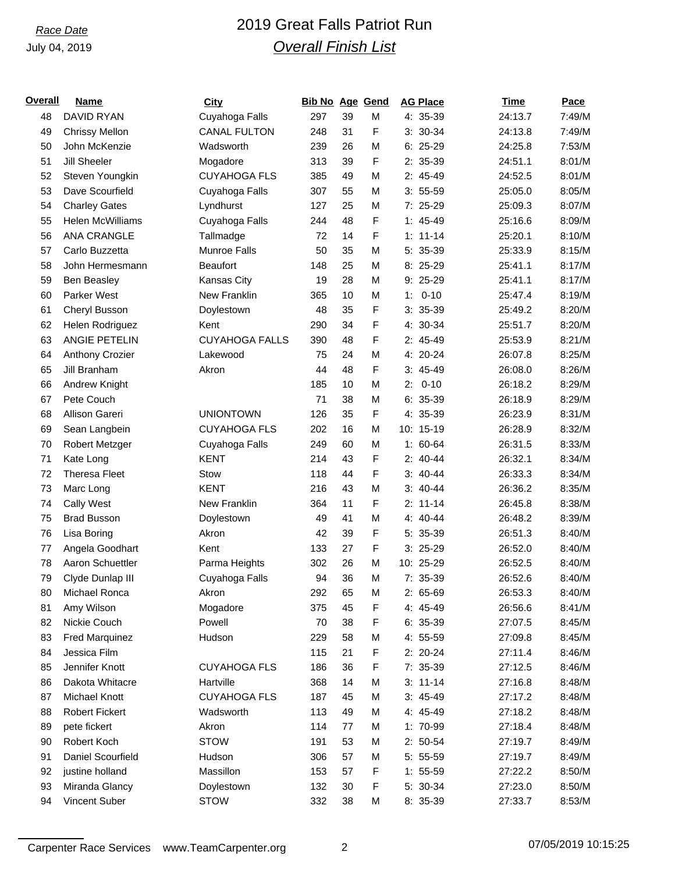# *Race Date* 2019 Great Falls Patriot Run *Overall Finish List*

| Overall | <b>Name</b>           | <b>City</b>           | <b>Bib No Age Gend</b> |    |   | <b>AG Place</b> | <u>Time</u> | <b>Pace</b> |
|---------|-----------------------|-----------------------|------------------------|----|---|-----------------|-------------|-------------|
| 48      | <b>DAVID RYAN</b>     | Cuyahoga Falls        | 297                    | 39 | M | 4: 35-39        | 24:13.7     | 7:49/M      |
| 49      | <b>Chrissy Mellon</b> | <b>CANAL FULTON</b>   | 248                    | 31 | F | $3: 30-34$      | 24:13.8     | 7:49/M      |
| 50      | John McKenzie         | Wadsworth             | 239                    | 26 | М | $6:25-29$       | 24:25.8     | 7:53/M      |
| 51      | <b>Jill Sheeler</b>   | Mogadore              | 313                    | 39 | F | 2: 35-39        | 24:51.1     | 8:01/M      |
| 52      | Steven Youngkin       | <b>CUYAHOGA FLS</b>   | 385                    | 49 | M | 2: 45-49        | 24:52.5     | 8:01/M      |
| 53      | Dave Scourfield       | Cuyahoga Falls        | 307                    | 55 | М | $3: 55-59$      | 25:05.0     | 8:05/M      |
| 54      | <b>Charley Gates</b>  | Lyndhurst             | 127                    | 25 | М | 7: 25-29        | 25:09.3     | 8:07/M      |
| 55      | Helen McWilliams      | Cuyahoga Falls        | 244                    | 48 | F | $1: 45-49$      | 25:16.6     | 8:09/M      |
| 56      | ANA CRANGLE           | Tallmadge             | 72                     | 14 | F | $1: 11 - 14$    | 25:20.1     | 8:10/M      |
| 57      | Carlo Buzzetta        | Munroe Falls          | 50                     | 35 | М | 5: 35-39        | 25:33.9     | 8:15/M      |
| 58      | John Hermesmann       | <b>Beaufort</b>       | 148                    | 25 | М | 8: 25-29        | 25:41.1     | 8:17/M      |
| 59      | Ben Beasley           | Kansas City           | 19                     | 28 | M | 9: 25-29        | 25:41.1     | 8:17/M      |
| 60      | <b>Parker West</b>    | New Franklin          | 365                    | 10 | M | $1: 0-10$       | 25:47.4     | 8:19/M      |
| 61      | Cheryl Busson         | Doylestown            | 48                     | 35 | F | $3: 35-39$      | 25:49.2     | 8:20/M      |
| 62      | Helen Rodriguez       | Kent                  | 290                    | 34 | F | 4: 30-34        | 25:51.7     | 8:20/M      |
| 63      | <b>ANGIE PETELIN</b>  | <b>CUYAHOGA FALLS</b> | 390                    | 48 | F | $2: 45-49$      | 25:53.9     | 8:21/M      |
| 64      | Anthony Crozier       | Lakewood              | 75                     | 24 | M | 4: 20-24        | 26:07.8     | 8:25/M      |
| 65      | Jill Branham          | Akron                 | 44                     | 48 | F | $3: 45-49$      | 26:08.0     | 8:26/M      |
| 66      | Andrew Knight         |                       | 185                    | 10 | М | $2: 0-10$       | 26:18.2     | 8:29/M      |
| 67      | Pete Couch            |                       | 71                     | 38 | M | $6: 35-39$      | 26:18.9     | 8:29/M      |
| 68      | Allison Gareri        | <b>UNIONTOWN</b>      | 126                    | 35 | F | 4: 35-39        | 26:23.9     | 8:31/M      |
| 69      | Sean Langbein         | <b>CUYAHOGA FLS</b>   | 202                    | 16 | М | 10: 15-19       | 26:28.9     | 8:32/M      |
| 70      | Robert Metzger        | Cuyahoga Falls        | 249                    | 60 | М | $1: 60-64$      | 26:31.5     | 8:33/M      |
| 71      | Kate Long             | <b>KENT</b>           | 214                    | 43 | F | $2: 40-44$      | 26:32.1     | 8:34/M      |
| 72      | <b>Theresa Fleet</b>  | Stow                  | 118                    | 44 | F | $3: 40-44$      | 26:33.3     | 8:34/M      |
| 73      | Marc Long             | <b>KENT</b>           | 216                    | 43 | М | $3: 40-44$      | 26:36.2     | 8:35/M      |
| 74      | Cally West            | New Franklin          | 364                    | 11 | F | $2: 11-14$      | 26:45.8     | 8:38/M      |
| 75      | <b>Brad Busson</b>    | Doylestown            | 49                     | 41 | M | $4: 40 - 44$    | 26:48.2     | 8:39/M      |
| 76      | Lisa Boring           | Akron                 | 42                     | 39 | F | 5: 35-39        | 26:51.3     | 8:40/M      |
| 77      | Angela Goodhart       | Kent                  | 133                    | 27 | F | $3: 25-29$      | 26:52.0     | 8:40/M      |
| 78      | Aaron Schuettler      | Parma Heights         | 302                    | 26 | М | 10: 25-29       | 26:52.5     | 8:40/M      |
| 79      | Clyde Dunlap III      | Cuyahoga Falls        | 94                     | 36 | M | 7: 35-39        | 26:52.6     | 8:40/M      |
| 80      | Michael Ronca         | Akron                 | 292                    | 65 | M | 2: 65-69        | 26:53.3     | 8:40/M      |
| 81      | Amy Wilson            | Mogadore              | 375                    | 45 | F | 4: 45-49        | 26:56.6     | 8:41/M      |
| 82      | Nickie Couch          | Powell                | 70                     | 38 | F | $6: 35-39$      | 27:07.5     | 8:45/M      |
| 83      | <b>Fred Marquinez</b> | Hudson                | 229                    | 58 | М | 4: 55-59        | 27:09.8     | 8:45/M      |
| 84      | Jessica Film          |                       | 115                    | 21 | F | $2: 20-24$      | 27:11.4     | 8:46/M      |
| 85      | Jennifer Knott        | <b>CUYAHOGA FLS</b>   | 186                    | 36 | F | 7: 35-39        | 27:12.5     | 8:46/M      |
| 86      | Dakota Whitacre       | Hartville             | 368                    | 14 | М | $3: 11-14$      | 27:16.8     | 8:48/M      |
| 87      | Michael Knott         | <b>CUYAHOGA FLS</b>   | 187                    | 45 | М | $3:45-49$       | 27:17.2     | 8:48/M      |
| 88      | <b>Robert Fickert</b> | Wadsworth             | 113                    | 49 | М | 4: 45-49        | 27:18.2     | 8:48/M      |
| 89      | pete fickert          | Akron                 | 114                    | 77 | М | 1: 70-99        | 27:18.4     | 8:48/M      |
| 90      | Robert Koch           | <b>STOW</b>           | 191                    | 53 | М | $2: 50-54$      | 27:19.7     | 8:49/M      |
| 91      | Daniel Scourfield     | Hudson                | 306                    | 57 | M | $5: 55-59$      | 27:19.7     | 8:49/M      |
| 92      | justine holland       | Massillon             | 153                    | 57 | F | $1: 55-59$      | 27:22.2     | 8:50/M      |
| 93      | Miranda Glancy        | Doylestown            | 132                    | 30 | F | 5: 30-34        | 27:23.0     | 8:50/M      |
| 94      | Vincent Suber         | <b>STOW</b>           | 332                    | 38 | M | 8: 35-39        | 27:33.7     | 8:53/M      |

Carpenter Race Services www.TeamCarpenter.org 2 2 07/05/2019 10:15:25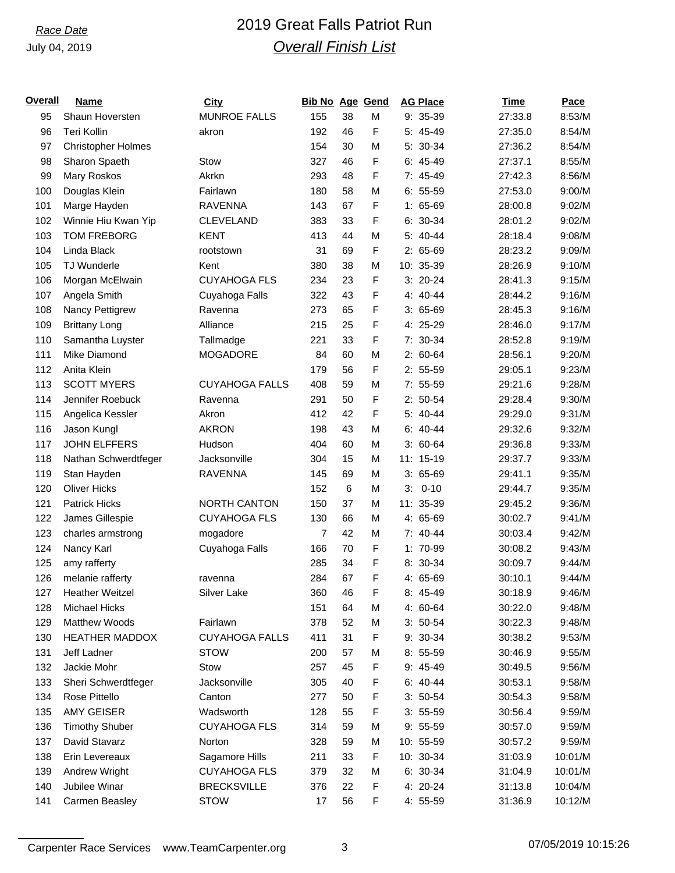# *Race Date* 2019 Great Falls Patriot Run *Overall Finish List*

| <u>Overall</u> | <b>Name</b>               | <b>City</b>           | <b>Bib No Age Gend</b> |                 |   | <b>AG Place</b> | Time    | Pace    |
|----------------|---------------------------|-----------------------|------------------------|-----------------|---|-----------------|---------|---------|
| 95             | Shaun Hoversten           | <b>MUNROE FALLS</b>   | 155                    | 38              | M | 9: 35-39        | 27:33.8 | 8:53/M  |
| 96             | Teri Kollin               | akron                 | 192                    | 46              | F | 5: 45-49        | 27:35.0 | 8:54/M  |
| 97             | <b>Christopher Holmes</b> |                       | 154                    | 30              | M | 5: 30-34        | 27:36.2 | 8:54/M  |
| 98             | Sharon Spaeth             | Stow                  | 327                    | 46              | F | $6: 45-49$      | 27:37.1 | 8:55/M  |
| 99             | Mary Roskos               | Akrkn                 | 293                    | 48              | F | 7: 45-49        | 27:42.3 | 8:56/M  |
| 100            | Douglas Klein             | Fairlawn              | 180                    | 58              | M | $6: 55-59$      | 27:53.0 | 9:00/M  |
| 101            | Marge Hayden              | <b>RAVENNA</b>        | 143                    | 67              | F | $1: 65-69$      | 28:00.8 | 9:02/M  |
| 102            | Winnie Hiu Kwan Yip       | <b>CLEVELAND</b>      | 383                    | 33              | F | 6: 30-34        | 28:01.2 | 9:02/M  |
| 103            | <b>TOM FREBORG</b>        | <b>KENT</b>           | 413                    | 44              | M | 5: 40-44        | 28:18.4 | 9:08/M  |
| 104            | Linda Black               | rootstown             | 31                     | 69              | F | $2: 65-69$      | 28:23.2 | 9:09/M  |
| 105            | <b>TJ Wunderle</b>        | Kent                  | 380                    | 38              | M | 10: 35-39       | 28:26.9 | 9:10/M  |
| 106            | Morgan McElwain           | <b>CUYAHOGA FLS</b>   | 234                    | 23              | F | $3: 20-24$      | 28:41.3 | 9:15/M  |
| 107            | Angela Smith              | Cuyahoga Falls        | 322                    | 43              | F | 4: 40-44        | 28:44.2 | 9:16/M  |
| 108            | Nancy Pettigrew           | Ravenna               | 273                    | 65              | F | $3:65-69$       | 28:45.3 | 9:16/M  |
| 109            | <b>Brittany Long</b>      | Alliance              | 215                    | 25              | F | 4: 25-29        | 28:46.0 | 9:17/M  |
| 110            | Samantha Luyster          | Tallmadge             | 221                    | 33              | F | 7: 30-34        | 28:52.8 | 9:19/M  |
| 111            | Mike Diamond              | <b>MOGADORE</b>       | 84                     | 60              | M | $2: 60-64$      | 28:56.1 | 9:20/M  |
| 112            | Anita Klein               |                       | 179                    | 56              | F | $2: 55-59$      | 29:05.1 | 9:23/M  |
| 113            | <b>SCOTT MYERS</b>        | <b>CUYAHOGA FALLS</b> | 408                    | 59              | M | $7: 55-59$      | 29:21.6 | 9:28/M  |
| 114            | Jennifer Roebuck          | Ravenna               | 291                    | 50              | F | $2: 50-54$      | 29:28.4 | 9:30/M  |
| 115            | Angelica Kessler          | Akron                 | 412                    | 42              | F | 5: 40-44        | 29:29.0 | 9:31/M  |
| 116            | Jason Kungl               | <b>AKRON</b>          | 198                    | 43              | M | $6: 40-44$      | 29:32.6 | 9:32/M  |
| 117            | <b>JOHN ELFFERS</b>       | Hudson                | 404                    | 60              | M | $3: 60-64$      | 29:36.8 | 9:33/M  |
| 118            | Nathan Schwerdtfeger      | Jacksonville          | 304                    | 15              | M | 11: 15-19       | 29:37.7 | 9:33/M  |
| 119            | Stan Hayden               | <b>RAVENNA</b>        | 145                    | 69              | M | $3:65-69$       | 29:41.1 | 9:35/M  |
| 120            | <b>Oliver Hicks</b>       |                       | 152                    | $6\phantom{1}6$ | M | $3: 0-10$       | 29:44.7 | 9:35/M  |
| 121            | <b>Patrick Hicks</b>      | <b>NORTH CANTON</b>   | 150                    | 37              | M | 11: 35-39       | 29:45.2 | 9:36/M  |
| 122            | James Gillespie           | <b>CUYAHOGA FLS</b>   | 130                    | 66              | M | 4: 65-69        | 30:02.7 | 9:41/M  |
| 123            | charles armstrong         | mogadore              | 7                      | 42              | M | $7:40-44$       | 30:03.4 | 9:42/M  |
| 124            | Nancy Karl                | Cuyahoga Falls        | 166                    | 70              | F | 1: 70-99        | 30:08.2 | 9:43/M  |
| 125            | amy rafferty              |                       | 285                    | 34              | F | 8: 30-34        | 30:09.7 | 9:44/M  |
| 126            | melanie rafferty          | ravenna               | 284                    | 67              | F | 4: 65-69        | 30:10.1 | 9:44/M  |
| 127            | <b>Heather Weitzel</b>    | Silver Lake           | 360                    | 46              | F | 8: 45-49        | 30:18.9 | 9:46/M  |
| 128            | Michael Hicks             |                       | 151                    | 64              | M | 4: 60-64        | 30:22.0 | 9:48/M  |
| 129            | Matthew Woods             | Fairlawn              | 378                    | 52              | M | $3: 50-54$      | 30:22.3 | 9:48/M  |
| 130            | <b>HEATHER MADDOX</b>     | <b>CUYAHOGA FALLS</b> | 411                    | 31              | F | 9: 30-34        | 30:38.2 | 9:53/M  |
| 131            | Jeff Ladner               | <b>STOW</b>           | 200                    | 57              | M | 8: 55-59        | 30:46.9 | 9:55/M  |
| 132            | Jackie Mohr               | Stow                  | 257                    | 45              | F | 9: 45-49        | 30:49.5 | 9:56/M  |
| 133            | Sheri Schwerdtfeger       | Jacksonville          | 305                    | 40              | F | $6: 40-44$      | 30:53.1 | 9:58/M  |
| 134            | Rose Pittello             | Canton                | 277                    | 50              | F | $3: 50-54$      | 30:54.3 | 9:58/M  |
| 135            | AMY GEISER                | Wadsworth             | 128                    | 55              | F | $3: 55-59$      | 30:56.4 | 9:59/M  |
| 136            | <b>Timothy Shuber</b>     | <b>CUYAHOGA FLS</b>   | 314                    | 59              | M | $9:55-59$       | 30:57.0 | 9:59/M  |
| 137            | David Stavarz             | Norton                | 328                    | 59              | M | 10: 55-59       | 30:57.2 | 9:59/M  |
| 138            | Erin Levereaux            | Sagamore Hills        | 211                    | 33              | F | 10: 30-34       | 31:03.9 | 10:01/M |
| 139            | Andrew Wright             | <b>CUYAHOGA FLS</b>   | 379                    | 32              | M | $6: 30-34$      | 31:04.9 | 10:01/M |
| 140            | Jubilee Winar             | <b>BRECKSVILLE</b>    | 376                    | 22              | F | 4: 20-24        | 31:13.8 | 10:04/M |
| 141            | Carmen Beasley            | STOW                  | 17                     | 56              | F | 4: 55-59        | 31:36.9 | 10:12/M |
|                |                           |                       |                        |                 |   |                 |         |         |

Carpenter Race Services www.TeamCarpenter.org 3 07/05/2019 10:15:26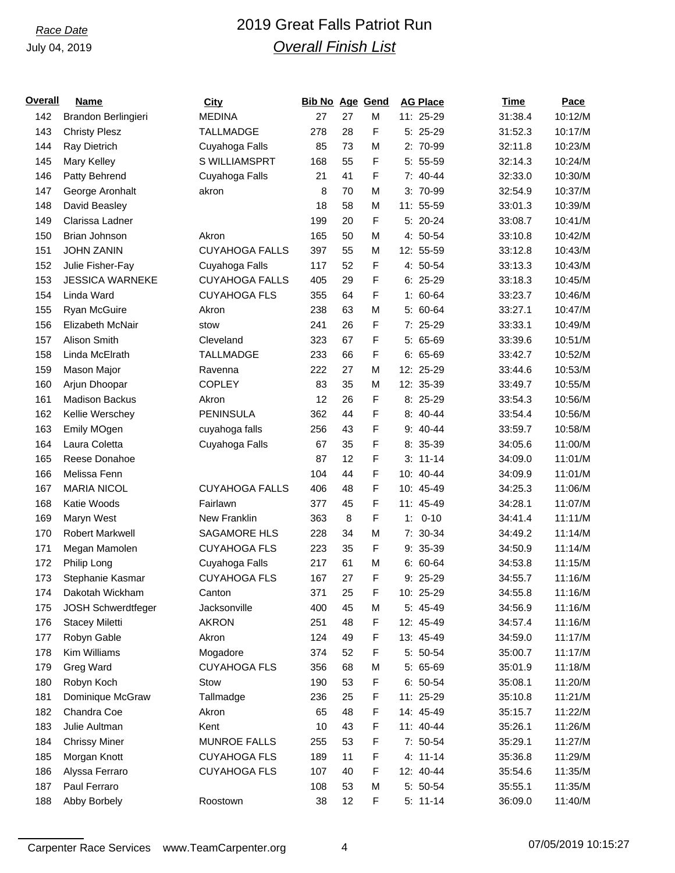# *Race Date* 2019 Great Falls Patriot Run *Overall Finish List*

| <u>Overall</u> | <b>Name</b>               | <b>City</b>           | <b>Bib No Age Gend</b> |    |   | <b>AG Place</b> | Time    | Pace    |
|----------------|---------------------------|-----------------------|------------------------|----|---|-----------------|---------|---------|
| 142            | Brandon Berlingieri       | <b>MEDINA</b>         | 27                     | 27 | M | 11: 25-29       | 31:38.4 | 10:12/M |
| 143            | <b>Christy Plesz</b>      | <b>TALLMADGE</b>      | 278                    | 28 | F | 5: 25-29        | 31:52.3 | 10:17/M |
| 144            | Ray Dietrich              | Cuyahoga Falls        | 85                     | 73 | M | 2: 70-99        | 32:11.8 | 10:23/M |
| 145            | Mary Kelley               | S WILLIAMSPRT         | 168                    | 55 | F | $5: 55-59$      | 32:14.3 | 10:24/M |
| 146            | Patty Behrend             | Cuyahoga Falls        | 21                     | 41 | F | 7: 40-44        | 32:33.0 | 10:30/M |
| 147            | George Aronhalt           | akron                 | 8                      | 70 | M | 3: 70-99        | 32:54.9 | 10:37/M |
| 148            | David Beasley             |                       | 18                     | 58 | M | 11: 55-59       | 33:01.3 | 10:39/M |
| 149            | Clarissa Ladner           |                       | 199                    | 20 | F | 5: 20-24        | 33:08.7 | 10:41/M |
| 150            | Brian Johnson             | Akron                 | 165                    | 50 | M | 4: 50-54        | 33:10.8 | 10:42/M |
| 151            | <b>JOHN ZANIN</b>         | <b>CUYAHOGA FALLS</b> | 397                    | 55 | M | 12: 55-59       | 33:12.8 | 10:43/M |
| 152            | Julie Fisher-Fay          | Cuyahoga Falls        | 117                    | 52 | F | 4: 50-54        | 33:13.3 | 10:43/M |
| 153            | <b>JESSICA WARNEKE</b>    | <b>CUYAHOGA FALLS</b> | 405                    | 29 | F | $6: 25-29$      | 33:18.3 | 10:45/M |
| 154            | Linda Ward                | <b>CUYAHOGA FLS</b>   | 355                    | 64 | F | $1: 60-64$      | 33:23.7 | 10:46/M |
| 155            | Ryan McGuire              | Akron                 | 238                    | 63 | M | 5: 60-64        | 33:27.1 | 10:47/M |
| 156            | Elizabeth McNair          | stow                  | 241                    | 26 | F | 7: 25-29        | 33:33.1 | 10:49/M |
| 157            | Alison Smith              | Cleveland             | 323                    | 67 | F | $5: 65-69$      | 33:39.6 | 10:51/M |
| 158            | Linda McElrath            | <b>TALLMADGE</b>      | 233                    | 66 | F | $6: 65-69$      | 33:42.7 | 10:52/M |
| 159            | Mason Major               | Ravenna               | 222                    | 27 | M | 12: 25-29       | 33:44.6 | 10:53/M |
| 160            | Arjun Dhoopar             | <b>COPLEY</b>         | 83                     | 35 | M | 12: 35-39       | 33:49.7 | 10:55/M |
| 161            | <b>Madison Backus</b>     | Akron                 | 12                     | 26 | F | $8:25-29$       | 33:54.3 | 10:56/M |
| 162            | Kellie Werschey           | PENINSULA             | 362                    | 44 | F | 8: 40-44        | 33:54.4 | 10:56/M |
| 163            | Emily MOgen               | cuyahoga falls        | 256                    | 43 | F | $9: 40 - 44$    | 33:59.7 | 10:58/M |
| 164            | Laura Coletta             | Cuyahoga Falls        | 67                     | 35 | F | 8: 35-39        | 34:05.6 | 11:00/M |
| 165            | Reese Donahoe             |                       | 87                     | 12 | F | $3: 11-14$      | 34:09.0 | 11:01/M |
| 166            | Melissa Fenn              |                       | 104                    | 44 | F | 10: 40-44       | 34:09.9 | 11:01/M |
| 167            | <b>MARIA NICOL</b>        | <b>CUYAHOGA FALLS</b> | 406                    | 48 | F | 10: 45-49       | 34:25.3 | 11:06/M |
| 168            | Katie Woods               | Fairlawn              | 377                    | 45 | F | 11: 45-49       | 34:28.1 | 11:07/M |
| 169            | Maryn West                | New Franklin          | 363                    | 8  | F | $0 - 10$<br>1:  | 34:41.4 | 11:11/M |
| 170            | <b>Robert Markwell</b>    | <b>SAGAMORE HLS</b>   | 228                    | 34 | M | $7: 30-34$      | 34:49.2 | 11:14/M |
| 171            | Megan Mamolen             | <b>CUYAHOGA FLS</b>   | 223                    | 35 | F | 9: 35-39        | 34:50.9 | 11:14/M |
| 172            | Philip Long               | Cuyahoga Falls        | 217                    | 61 | M | $6: 60-64$      | 34:53.8 | 11:15/M |
| 173            | Stephanie Kasmar          | <b>CUYAHOGA FLS</b>   | 167                    | 27 | F | 9: 25-29        | 34:55.7 | 11:16/M |
| 174            | Dakotah Wickham           | Canton                | 371                    | 25 | F | 10: 25-29       | 34:55.8 | 11:16/M |
| 175            | <b>JOSH Schwerdtfeger</b> | Jacksonville          | 400                    | 45 | M | 5: 45-49        | 34:56.9 | 11:16/M |
| 176            | <b>Stacey Miletti</b>     | <b>AKRON</b>          | 251                    | 48 | F | 12: 45-49       | 34:57.4 | 11:16/M |
| 177            | Robyn Gable               | Akron                 | 124                    | 49 | F | 13: 45-49       | 34:59.0 | 11:17/M |
| 178            | Kim Williams              | Mogadore              | 374                    | 52 | F | 5: 50-54        | 35:00.7 | 11:17/M |
| 179            | Greg Ward                 | <b>CUYAHOGA FLS</b>   | 356                    | 68 | M | 5: 65-69        | 35:01.9 | 11:18/M |
| 180            | Robyn Koch                | Stow                  | 190                    | 53 | F | $6: 50-54$      | 35:08.1 | 11:20/M |
| 181            | Dominique McGraw          | Tallmadge             | 236                    | 25 | F | 11: 25-29       | 35:10.8 | 11:21/M |
| 182            | Chandra Coe               | Akron                 | 65                     | 48 | F | 14: 45-49       | 35:15.7 | 11:22/M |
| 183            | Julie Aultman             | Kent                  | 10                     | 43 | F | 11: 40-44       | 35:26.1 | 11:26/M |
| 184            | <b>Chrissy Miner</b>      | <b>MUNROE FALLS</b>   | 255                    | 53 | F | 7: 50-54        | 35:29.1 | 11:27/M |
| 185            | Morgan Knott              | <b>CUYAHOGA FLS</b>   | 189                    | 11 | F | $4: 11 - 14$    | 35:36.8 | 11:29/M |
| 186            | Alyssa Ferraro            | <b>CUYAHOGA FLS</b>   | 107                    | 40 | F | 12: 40-44       | 35:54.6 | 11:35/M |
| 187            | Paul Ferraro              |                       | 108                    | 53 | M | 5: 50-54        | 35:55.1 | 11:35/M |
| 188            | Abby Borbely              | Roostown              | 38                     | 12 | F | $5: 11-14$      | 36:09.0 | 11:40/M |
|                |                           |                       |                        |    |   |                 |         |         |

Carpenter Race Services www.TeamCarpenter.org 4 07/05/2019 10:15:27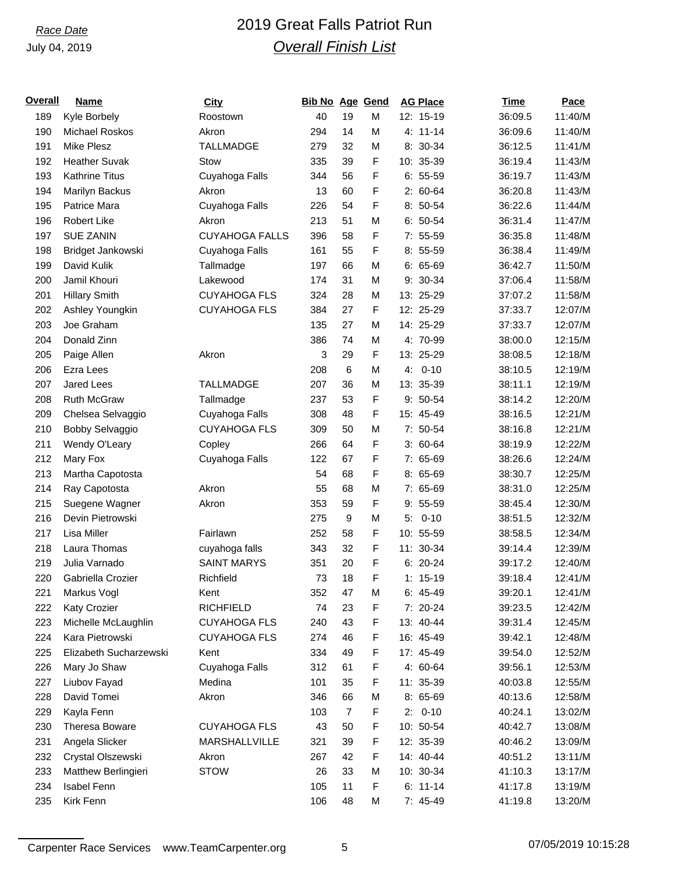# *Race Date* 2019 Great Falls Patriot Run *Overall Finish List*

| <u>Overall</u> | <b>Name</b>            | <b>City</b>           | <b>Bib No Age Gend</b> |                |   | <b>AG Place</b> | <b>Time</b> | Pace    |
|----------------|------------------------|-----------------------|------------------------|----------------|---|-----------------|-------------|---------|
| 189            | Kyle Borbely           | Roostown              | 40                     | 19             | M | 12: 15-19       | 36:09.5     | 11:40/M |
| 190            | Michael Roskos         | Akron                 | 294                    | 14             | М | 4: 11-14        | 36:09.6     | 11:40/M |
| 191            | Mike Plesz             | <b>TALLMADGE</b>      | 279                    | 32             | M | 8: 30-34        | 36:12.5     | 11:41/M |
| 192            | <b>Heather Suvak</b>   | Stow                  | 335                    | 39             | F | 10: 35-39       | 36:19.4     | 11:43/M |
| 193            | <b>Kathrine Titus</b>  | Cuyahoga Falls        | 344                    | 56             | F | $6: 55-59$      | 36:19.7     | 11:43/M |
| 194            | Marilyn Backus         | Akron                 | 13                     | 60             | F | $2: 60-64$      | 36:20.8     | 11:43/M |
| 195            | Patrice Mara           | Cuyahoga Falls        | 226                    | 54             | F | $8:50-54$       | 36:22.6     | 11:44/M |
| 196            | <b>Robert Like</b>     | Akron                 | 213                    | 51             | M | $6: 50-54$      | 36:31.4     | 11:47/M |
| 197            | <b>SUE ZANIN</b>       | <b>CUYAHOGA FALLS</b> | 396                    | 58             | F | $7: 55-59$      | 36:35.8     | 11:48/M |
| 198            | Bridget Jankowski      | Cuyahoga Falls        | 161                    | 55             | F | $8:55-59$       | 36:38.4     | 11:49/M |
| 199            | David Kulik            | Tallmadge             | 197                    | 66             | M | $6: 65-69$      | 36:42.7     | 11:50/M |
| 200            | Jamil Khouri           | Lakewood              | 174                    | 31             | M | 9: 30-34        | 37:06.4     | 11:58/M |
| 201            | <b>Hillary Smith</b>   | <b>CUYAHOGA FLS</b>   | 324                    | 28             | M | 13: 25-29       | 37:07.2     | 11:58/M |
| 202            | Ashley Youngkin        | <b>CUYAHOGA FLS</b>   | 384                    | 27             | F | 12: 25-29       | 37:33.7     | 12:07/M |
| 203            | Joe Graham             |                       | 135                    | 27             | M | 14: 25-29       | 37:33.7     | 12:07/M |
| 204            | Donald Zinn            |                       | 386                    | 74             | M | 4: 70-99        | 38:00.0     | 12:15/M |
| 205            | Paige Allen            | Akron                 | 3                      | 29             | F | 13: 25-29       | 38:08.5     | 12:18/M |
| 206            | Ezra Lees              |                       | 208                    | 6              | M | $4: 0-10$       | 38:10.5     | 12:19/M |
| 207            | <b>Jared Lees</b>      | <b>TALLMADGE</b>      | 207                    | 36             | M | 13: 35-39       | 38:11.1     | 12:19/M |
| 208            | <b>Ruth McGraw</b>     | Tallmadge             | 237                    | 53             | F | 9: 50-54        | 38:14.2     | 12:20/M |
| 209            | Chelsea Selvaggio      | Cuyahoga Falls        | 308                    | 48             | F | 15: 45-49       | 38:16.5     | 12:21/M |
| 210            | Bobby Selvaggio        | <b>CUYAHOGA FLS</b>   | 309                    | 50             | M | 7: 50-54        | 38:16.8     | 12:21/M |
| 211            | Wendy O'Leary          | Copley                | 266                    | 64             | F | $3: 60-64$      | 38:19.9     | 12:22/M |
| 212            | Mary Fox               | Cuyahoga Falls        | 122                    | 67             | F | 7: 65-69        | 38:26.6     | 12:24/M |
| 213            | Martha Capotosta       |                       | 54                     | 68             | F | 8: 65-69        | 38:30.7     | 12:25/M |
| 214            | Ray Capotosta          | Akron                 | 55                     | 68             | M | 7: 65-69        | 38:31.0     | 12:25/M |
| 215            | Suegene Wagner         | Akron                 | 353                    | 59             | F | $9:55-59$       | 38:45.4     | 12:30/M |
| 216            | Devin Pietrowski       |                       | 275                    | 9              | M | $5: 0-10$       | 38:51.5     | 12:32/M |
| 217            | Lisa Miller            | Fairlawn              | 252                    | 58             | F | 10: 55-59       | 38:58.5     | 12:34/M |
| 218            | Laura Thomas           | cuyahoga falls        | 343                    | 32             | F | 11: 30-34       | 39:14.4     | 12:39/M |
| 219            | Julia Varnado          | <b>SAINT MARYS</b>    | 351                    | 20             | F | $6: 20-24$      | 39:17.2     | 12:40/M |
| 220            | Gabriella Crozier      | Richfield             | 73                     | 18             | F | $1: 15-19$      | 39:18.4     | 12:41/M |
| 221            | Markus Vogl            | Kent                  | 352                    | 47             | М | 6: 45-49        | 39:20.1     | 12:41/M |
| 222            | Katy Crozier           | RICHFIELD             | 74                     | 23             | F | 7: 20-24        | 39:23.5     | 12:42/M |
| 223            | Michelle McLaughlin    | <b>CUYAHOGA FLS</b>   | 240                    | 43             | F | 13: 40-44       | 39:31.4     | 12:45/M |
| 224            | Kara Pietrowski        | <b>CUYAHOGA FLS</b>   | 274                    | 46             | F | 16: 45-49       | 39:42.1     | 12:48/M |
| 225            | Elizabeth Sucharzewski | Kent                  | 334                    | 49             | F | 17: 45-49       | 39:54.0     | 12:52/M |
| 226            | Mary Jo Shaw           | Cuyahoga Falls        | 312                    | 61             | F | 4: 60-64        | 39:56.1     | 12:53/M |
| 227            | Liubov Fayad           | Medina                | 101                    | 35             | F | 11: 35-39       | 40:03.8     | 12:55/M |
| 228            | David Tomei            | Akron                 | 346                    | 66             | M | 8: 65-69        | 40:13.6     | 12:58/M |
| 229            | Kayla Fenn             |                       | 103                    | $\overline{7}$ | F | $2: 0-10$       | 40:24.1     | 13:02/M |
| 230            | Theresa Boware         | <b>CUYAHOGA FLS</b>   | 43                     | 50             | F | 10: 50-54       | 40:42.7     | 13:08/M |
| 231            | Angela Slicker         | MARSHALLVILLE         | 321                    | 39             | F | 12: 35-39       | 40:46.2     | 13:09/M |
| 232            | Crystal Olszewski      | Akron                 | 267                    | 42             | F | 14: 40-44       | 40:51.2     | 13:11/M |
| 233            | Matthew Berlingieri    | <b>STOW</b>           | 26                     | 33             | M | 10: 30-34       | 41:10.3     | 13:17/M |
| 234            | <b>Isabel Fenn</b>     |                       | 105                    | 11             | F | $6: 11-14$      | 41:17.8     | 13:19/M |
| 235            | Kirk Fenn              |                       | 106                    | 48             | M | 7: 45-49        | 41:19.8     | 13:20/M |
|                |                        |                       |                        |                |   |                 |             |         |

Carpenter Race Services www.TeamCarpenter.org 5 07/05/2019 10:15:28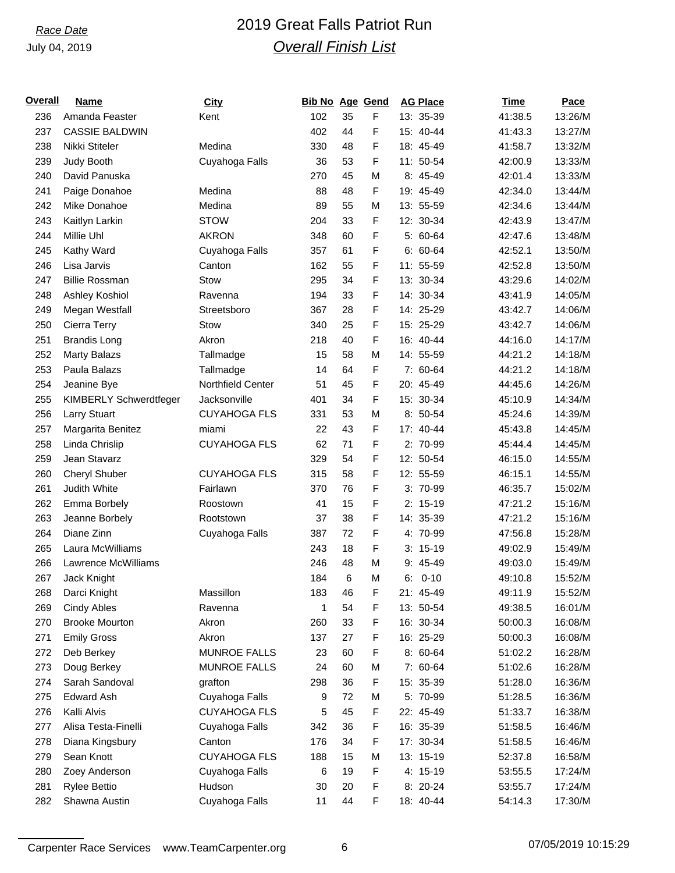# *Race Date* 2019 Great Falls Patriot Run *Overall Finish List*

| <u>Overall</u> | <b>Name</b>            | <b>City</b>         | <b>Bib No Age Gend</b> |    |   | <b>AG Place</b> | <b>Time</b> | Pace    |
|----------------|------------------------|---------------------|------------------------|----|---|-----------------|-------------|---------|
| 236            | Amanda Feaster         | Kent                | 102                    | 35 | F | 13: 35-39       | 41:38.5     | 13:26/M |
| 237            | <b>CASSIE BALDWIN</b>  |                     | 402                    | 44 | F | 15: 40-44       | 41:43.3     | 13:27/M |
| 238            | Nikki Stiteler         | Medina              | 330                    | 48 | F | 18: 45-49       | 41:58.7     | 13:32/M |
| 239            | Judy Booth             | Cuyahoga Falls      | 36                     | 53 | F | 11: 50-54       | 42:00.9     | 13:33/M |
| 240            | David Panuska          |                     | 270                    | 45 | M | 8: 45-49        | 42:01.4     | 13:33/M |
| 241            | Paige Donahoe          | Medina              | 88                     | 48 | F | 19: 45-49       | 42:34.0     | 13:44/M |
| 242            | Mike Donahoe           | Medina              | 89                     | 55 | M | 13: 55-59       | 42:34.6     | 13:44/M |
| 243            | Kaitlyn Larkin         | <b>STOW</b>         | 204                    | 33 | F | 12: 30-34       | 42:43.9     | 13:47/M |
| 244            | Millie Uhl             | <b>AKRON</b>        | 348                    | 60 | F | 5: 60-64        | 42:47.6     | 13:48/M |
| 245            | Kathy Ward             | Cuyahoga Falls      | 357                    | 61 | F | $6: 60-64$      | 42:52.1     | 13:50/M |
| 246            | Lisa Jarvis            | Canton              | 162                    | 55 | F | 11: 55-59       | 42:52.8     | 13:50/M |
| 247            | <b>Billie Rossman</b>  | <b>Stow</b>         | 295                    | 34 | F | 13: 30-34       | 43:29.6     | 14:02/M |
| 248            | Ashley Koshiol         | Ravenna             | 194                    | 33 | F | 14: 30-34       | 43:41.9     | 14:05/M |
| 249            | Megan Westfall         | Streetsboro         | 367                    | 28 | F | 14: 25-29       | 43:42.7     | 14:06/M |
| 250            | Cierra Terry           | Stow                | 340                    | 25 | F | 15: 25-29       | 43:42.7     | 14:06/M |
| 251            | <b>Brandis Long</b>    | Akron               | 218                    | 40 | F | 16: 40-44       | 44:16.0     | 14:17/M |
| 252            | <b>Marty Balazs</b>    | Tallmadge           | 15                     | 58 | M | 14: 55-59       | 44:21.2     | 14:18/M |
| 253            | Paula Balazs           | Tallmadge           | 14                     | 64 | F | 7: 60-64        | 44:21.2     | 14:18/M |
| 254            | Jeanine Bye            | Northfield Center   | 51                     | 45 | F | 20: 45-49       | 44:45.6     | 14:26/M |
| 255            | KIMBERLY Schwerdtfeger | Jacksonville        | 401                    | 34 | F | 15: 30-34       | 45:10.9     | 14:34/M |
| 256            | <b>Larry Stuart</b>    | <b>CUYAHOGA FLS</b> | 331                    | 53 | M | 8: 50-54        | 45:24.6     | 14:39/M |
| 257            | Margarita Benitez      | miami               | 22                     | 43 | F | 17: 40-44       | 45:43.8     | 14:45/M |
| 258            | Linda Chrislip         | <b>CUYAHOGA FLS</b> | 62                     | 71 | F | 2: 70-99        | 45:44.4     | 14:45/M |
| 259            | Jean Stavarz           |                     | 329                    | 54 | F | 12: 50-54       | 46:15.0     | 14:55/M |
| 260            | Cheryl Shuber          | <b>CUYAHOGA FLS</b> | 315                    | 58 | F | 12: 55-59       | 46:15.1     | 14:55/M |
| 261            | Judith White           | Fairlawn            | 370                    | 76 | F | 3: 70-99        | 46:35.7     | 15:02/M |
| 262            | Emma Borbely           | Roostown            | 41                     | 15 | F | $2: 15-19$      | 47:21.2     | 15:16/M |
| 263            | Jeanne Borbely         | Rootstown           | 37                     | 38 | F | 14: 35-39       | 47:21.2     | 15:16/M |
| 264            | Diane Zinn             | Cuyahoga Falls      | 387                    | 72 | F | 4: 70-99        | 47:56.8     | 15:28/M |
| 265            | Laura McWilliams       |                     | 243                    | 18 | F | $3: 15-19$      | 49:02.9     | 15:49/M |
| 266            | Lawrence McWilliams    |                     | 246                    | 48 | M | 9: 45-49        | 49:03.0     | 15:49/M |
| 267            | Jack Knight            |                     | 184                    | 6  | M | $6: 0-10$       | 49:10.8     | 15:52/M |
| 268            | Darci Knight           | Massillon           | 183                    | 46 | F | 21: 45-49       | 49:11.9     | 15:52/M |
| 269            | Cindy Ables            | Ravenna             | 1                      | 54 | F | 13: 50-54       | 49:38.5     | 16:01/M |
| 270            | <b>Brooke Mourton</b>  | Akron               | 260                    | 33 | F | 16: 30-34       | 50:00.3     | 16:08/M |
| 271            | <b>Emily Gross</b>     | Akron               | 137                    | 27 | F | 16: 25-29       | 50:00.3     | 16:08/M |
| 272            | Deb Berkey             | <b>MUNROE FALLS</b> | 23                     | 60 | F | 8: 60-64        | 51:02.2     | 16:28/M |
| 273            | Doug Berkey            | <b>MUNROE FALLS</b> | 24                     | 60 | M | 7: 60-64        | 51:02.6     | 16:28/M |
| 274            | Sarah Sandoval         | grafton             | 298                    | 36 | F | 15: 35-39       | 51:28.0     | 16:36/M |
| 275            | <b>Edward Ash</b>      | Cuyahoga Falls      | 9                      | 72 | M | 5: 70-99        | 51:28.5     | 16:36/M |
| 276            | Kalli Alvis            | <b>CUYAHOGA FLS</b> | 5                      | 45 | F | 22: 45-49       | 51:33.7     | 16:38/M |
| 277            | Alisa Testa-Finelli    | Cuyahoga Falls      | 342                    | 36 | F | 16: 35-39       | 51:58.5     | 16:46/M |
| 278            | Diana Kingsbury        | Canton              | 176                    | 34 | F | 17: 30-34       | 51:58.5     | 16:46/M |
| 279            | Sean Knott             | <b>CUYAHOGA FLS</b> | 188                    | 15 | M | 13: 15-19       | 52:37.8     | 16:58/M |
| 280            | Zoey Anderson          | Cuyahoga Falls      | 6                      | 19 | F | 4: 15-19        | 53:55.5     | 17:24/M |
| 281            | Rylee Bettio           | Hudson              | 30                     | 20 | F | 8: 20-24        | 53:55.7     | 17:24/M |
| 282            | Shawna Austin          | Cuyahoga Falls      | 11                     | 44 | F | 18: 40-44       | 54:14.3     | 17:30/M |
|                |                        |                     |                        |    |   |                 |             |         |

Carpenter Race Services www.TeamCarpenter.org 6 07/05/2019 10:15:29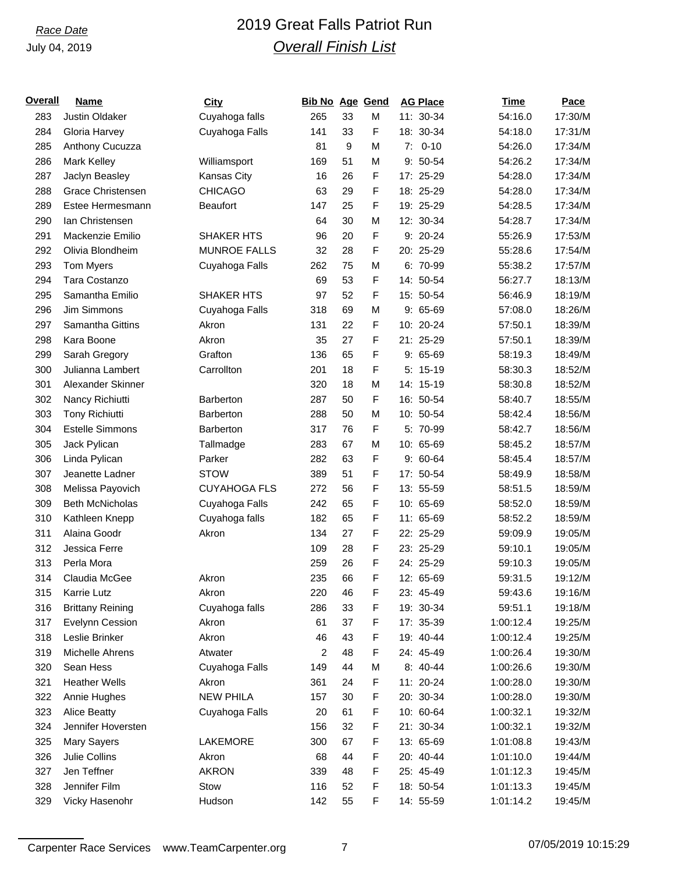# *Race Date* 2019 Great Falls Patriot Run *Overall Finish List*

| <u>Overall</u> | <b>Name</b>              | <b>City</b>         | <b>Bib No Age Gend</b> |          |   | <b>AG Place</b> | Time      | Pace    |
|----------------|--------------------------|---------------------|------------------------|----------|---|-----------------|-----------|---------|
| 283            | Justin Oldaker           | Cuyahoga falls      | 265                    | 33       | M | 11: 30-34       | 54:16.0   | 17:30/M |
| 284            | Gloria Harvey            | Cuyahoga Falls      | 141                    | 33       | F | 18: 30-34       | 54:18.0   | 17:31/M |
| 285            | Anthony Cucuzza          |                     | 81                     | 9        | M | $7: 0-10$       | 54:26.0   | 17:34/M |
| 286            | <b>Mark Kelley</b>       | Williamsport        | 169                    | 51       | M | $9:50-54$       | 54:26.2   | 17:34/M |
| 287            | Jaclyn Beasley           | Kansas City         | 16                     | 26       | F | 17: 25-29       | 54:28.0   | 17:34/M |
| 288            | <b>Grace Christensen</b> | <b>CHICAGO</b>      | 63                     | 29       | F | 18: 25-29       | 54:28.0   | 17:34/M |
| 289            | Estee Hermesmann         | <b>Beaufort</b>     | 147                    | 25       | F | 19: 25-29       | 54:28.5   | 17:34/M |
| 290            | lan Christensen          |                     | 64                     | 30       | M | 12: 30-34       | 54:28.7   | 17:34/M |
| 291            | Mackenzie Emilio         | <b>SHAKER HTS</b>   | 96                     | 20       | F | $9: 20-24$      | 55:26.9   | 17:53/M |
| 292            | Olivia Blondheim         | <b>MUNROE FALLS</b> | 32                     | 28       | F | 20: 25-29       | 55:28.6   | 17:54/M |
| 293            | Tom Myers                | Cuyahoga Falls      | 262                    | 75       | M | 6: 70-99        | 55:38.2   | 17:57/M |
| 294            | Tara Costanzo            |                     | 69                     | 53       | F | 14: 50-54       | 56:27.7   | 18:13/M |
| 295            | Samantha Emilio          | SHAKER HTS          | 97                     | 52       | F | 15: 50-54       | 56:46.9   | 18:19/M |
| 296            | Jim Simmons              | Cuyahoga Falls      | 318                    | 69       | M | $9:65-69$       | 57:08.0   | 18:26/M |
| 297            | Samantha Gittins         | Akron               | 131                    | 22       | F | 10: 20-24       | 57:50.1   | 18:39/M |
| 298            | Kara Boone               | Akron               | 35                     | 27       | F | 21: 25-29       | 57:50.1   | 18:39/M |
| 299            | Sarah Gregory            | Grafton             | 136                    | 65       | F | $9:65-69$       | 58:19.3   | 18:49/M |
| 300            | Julianna Lambert         | Carrollton          | 201                    | 18       | F | $5: 15-19$      | 58:30.3   | 18:52/M |
| 301            | Alexander Skinner        |                     | 320                    | 18       | M | 14: 15-19       | 58:30.8   | 18:52/M |
| 302            | Nancy Richiutti          | <b>Barberton</b>    | 287                    | 50       | F | 16: 50-54       | 58:40.7   | 18:55/M |
| 303            | <b>Tony Richiutti</b>    | <b>Barberton</b>    | 288                    | 50       | M | 10: 50-54       | 58:42.4   | 18:56/M |
| 304            | <b>Estelle Simmons</b>   | <b>Barberton</b>    | 317                    | 76       | F | 5: 70-99        | 58:42.7   | 18:56/M |
| 305            | Jack Pylican             | Tallmadge           | 283                    | 67       | M | 10: 65-69       | 58:45.2   | 18:57/M |
| 306            | Linda Pylican            | Parker              | 282                    | 63       | F | $9:60-64$       | 58:45.4   | 18:57/M |
| 307            | Jeanette Ladner          | <b>STOW</b>         | 389                    | 51       | F | 17: 50-54       | 58:49.9   | 18:58/M |
| 308            | Melissa Payovich         | <b>CUYAHOGA FLS</b> | 272                    | 56       | F | 13: 55-59       | 58:51.5   | 18:59/M |
| 309            | <b>Beth McNicholas</b>   | Cuyahoga Falls      | 242                    | 65       | F | 10: 65-69       | 58:52.0   | 18:59/M |
| 310            |                          |                     | 182                    | 65       | F | 11: 65-69       | 58:52.2   | 18:59/M |
|                | Kathleen Knepp           | Cuyahoga falls      |                        |          |   |                 |           |         |
| 311            | Alaina Goodr             | Akron               | 134                    | 27<br>28 | F | 22: 25-29       | 59:09.9   | 19:05/M |
| 312            | Jessica Ferre            |                     | 109                    |          | F | 23: 25-29       | 59:10.1   | 19:05/M |
| 313            | Perla Mora               |                     | 259                    | 26       | F | 24: 25-29       | 59:10.3   | 19:05/M |
| 314            | Claudia McGee            | Akron               | 235                    | 66       | F | 12: 65-69       | 59:31.5   | 19:12/M |
| 315            | <b>Karrie Lutz</b>       | Akron               | 220                    | 46       | F | 23: 45-49       | 59:43.6   | 19:16/M |
| 316            | <b>Brittany Reining</b>  | Cuyahoga falls      | 286                    | 33       | F | 19: 30-34       | 59:51.1   | 19:18/M |
| 317            | Evelynn Cession          | Akron               | 61                     | 37       | F | 17: 35-39       | 1:00:12.4 | 19:25/M |
| 318            | Leslie Brinker           | Akron               | 46                     | 43       | F | 19: 40-44       | 1:00:12.4 | 19:25/M |
| 319            | Michelle Ahrens          | Atwater             | 2                      | 48       | F | 24: 45-49       | 1:00:26.4 | 19:30/M |
| 320            | Sean Hess                | Cuyahoga Falls      | 149                    | 44       | M | 8: 40-44        | 1:00:26.6 | 19:30/M |
| 321            | <b>Heather Wells</b>     | Akron               | 361                    | 24       | F | 11: 20-24       | 1:00:28.0 | 19:30/M |
| 322            | Annie Hughes             | <b>NEW PHILA</b>    | 157                    | 30       | F | 20: 30-34       | 1:00:28.0 | 19:30/M |
| 323            | <b>Alice Beatty</b>      | Cuyahoga Falls      | 20                     | 61       | F | 10: 60-64       | 1:00:32.1 | 19:32/M |
| 324            | Jennifer Hoversten       |                     | 156                    | 32       | F | 21: 30-34       | 1:00:32.1 | 19:32/M |
| 325            | Mary Sayers              | LAKEMORE            | 300                    | 67       | F | 13: 65-69       | 1:01:08.8 | 19:43/M |
| 326            | Julie Collins            | Akron               | 68                     | 44       | F | 20: 40-44       | 1:01:10.0 | 19:44/M |
| 327            | Jen Teffner              | <b>AKRON</b>        | 339                    | 48       | F | 25: 45-49       | 1:01:12.3 | 19:45/M |
| 328            | Jennifer Film            | Stow                | 116                    | 52       | F | 18: 50-54       | 1:01:13.3 | 19:45/M |
| 329            | Vicky Hasenohr           | Hudson              | 142                    | 55       | F | 14: 55-59       | 1:01:14.2 | 19:45/M |

Carpenter Race Services www.TeamCarpenter.org 7 7 07/05/2019 10:15:29